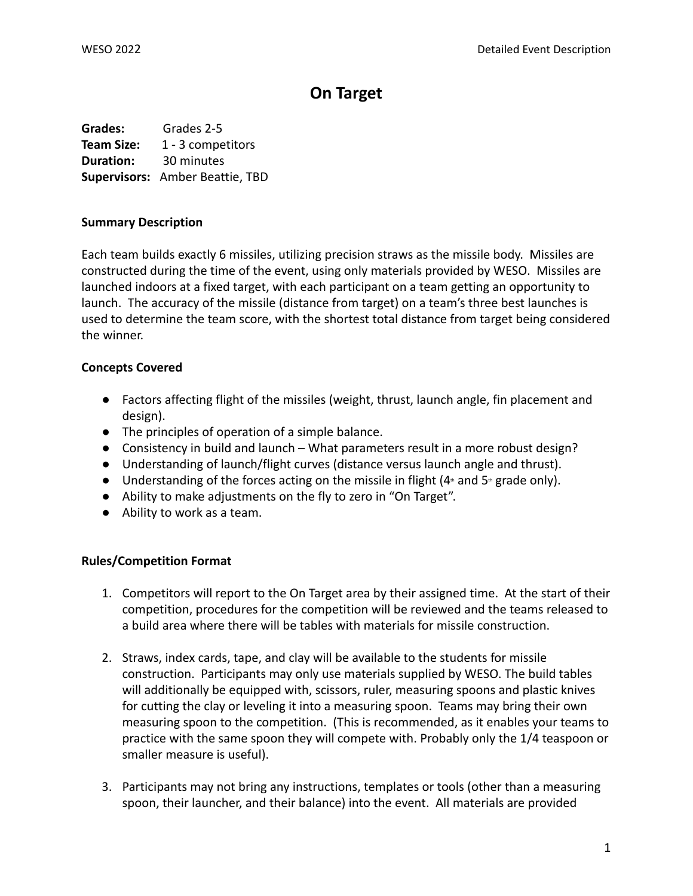# **On Target**

**Grades:** Grades 2-5 **Team Size:** 1 - 3 competitors **Duration:** 30 minutes **Supervisors:** Amber Beattie, TBD

### **Summary Description**

Each team builds exactly 6 missiles, utilizing precision straws as the missile body. Missiles are constructed during the time of the event, using only materials provided by WESO. Missiles are launched indoors at a fixed target, with each participant on a team getting an opportunity to launch. The accuracy of the missile (distance from target) on a team's three best launches is used to determine the team score, with the shortest total distance from target being considered the winner.

# **Concepts Covered**

- Factors affecting flight of the missiles (weight, thrust, launch angle, fin placement and design).
- The principles of operation of a simple balance.
- Consistency in build and launch What parameters result in a more robust design?
- Understanding of launch/flight curves (distance versus launch angle and thrust).
- Understanding of the forces acting on the missile in flight  $(4<sup>th</sup>$  and  $5<sup>th</sup>$  grade only).
- Ability to make adjustments on the fly to zero in "On Target".
- Ability to work as a team.

# **Rules/Competition Format**

- 1. Competitors will report to the On Target area by their assigned time. At the start of their competition, procedures for the competition will be reviewed and the teams released to a build area where there will be tables with materials for missile construction.
- 2. Straws, index cards, tape, and clay will be available to the students for missile construction. Participants may only use materials supplied by WESO. The build tables will additionally be equipped with, scissors, ruler, measuring spoons and plastic knives for cutting the clay or leveling it into a measuring spoon. Teams may bring their own measuring spoon to the competition. (This is recommended, as it enables your teams to practice with the same spoon they will compete with. Probably only the 1/4 teaspoon or smaller measure is useful).
- 3. Participants may not bring any instructions, templates or tools (other than a measuring spoon, their launcher, and their balance) into the event. All materials are provided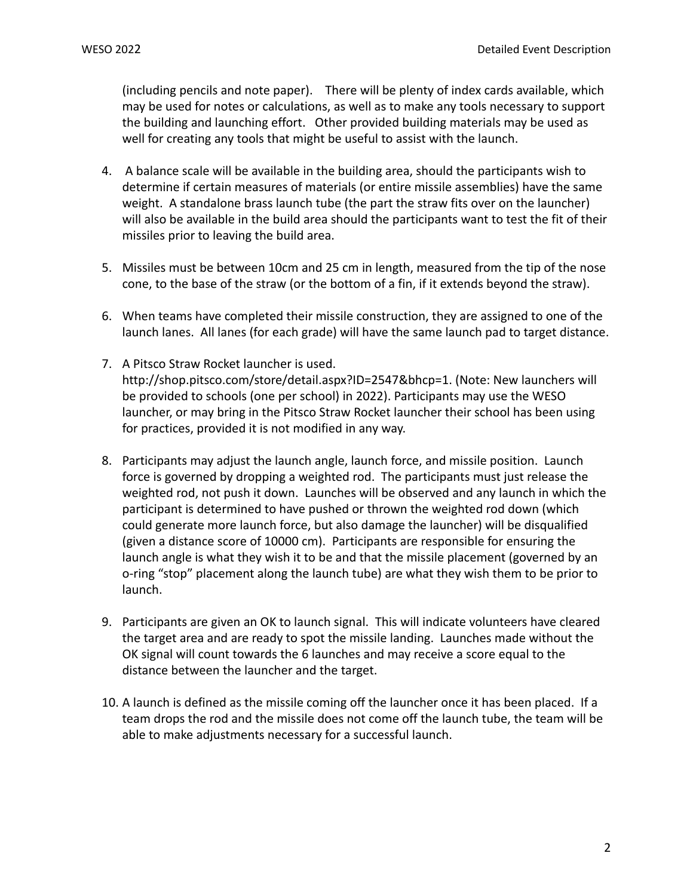(including pencils and note paper). There will be plenty of index cards available, which may be used for notes or calculations, as well as to make any tools necessary to support the building and launching effort. Other provided building materials may be used as well for creating any tools that might be useful to assist with the launch.

- 4. A balance scale will be available in the building area, should the participants wish to determine if certain measures of materials (or entire missile assemblies) have the same weight. A standalone brass launch tube (the part the straw fits over on the launcher) will also be available in the build area should the participants want to test the fit of their missiles prior to leaving the build area.
- 5. Missiles must be between 10cm and 25 cm in length, measured from the tip of the nose cone, to the base of the straw (or the bottom of a fin, if it extends beyond the straw).
- 6. When teams have completed their missile construction, they are assigned to one of the launch lanes. All lanes (for each grade) will have the same launch pad to target distance.
- 7. A Pitsco Straw Rocket launcher is used. http://shop.pitsco.com/store/detail.aspx?ID=2547&bhcp=1. (Note: New launchers will be provided to schools (one per school) in 2022). Participants may use the WESO launcher, or may bring in the Pitsco Straw Rocket launcher their school has been using for practices, provided it is not modified in any way.
- 8. Participants may adjust the launch angle, launch force, and missile position. Launch force is governed by dropping a weighted rod. The participants must just release the weighted rod, not push it down. Launches will be observed and any launch in which the participant is determined to have pushed or thrown the weighted rod down (which could generate more launch force, but also damage the launcher) will be disqualified (given a distance score of 10000 cm). Participants are responsible for ensuring the launch angle is what they wish it to be and that the missile placement (governed by an o-ring "stop" placement along the launch tube) are what they wish them to be prior to launch.
- 9. Participants are given an OK to launch signal. This will indicate volunteers have cleared the target area and are ready to spot the missile landing. Launches made without the OK signal will count towards the 6 launches and may receive a score equal to the distance between the launcher and the target.
- 10. A launch is defined as the missile coming off the launcher once it has been placed. If a team drops the rod and the missile does not come off the launch tube, the team will be able to make adjustments necessary for a successful launch.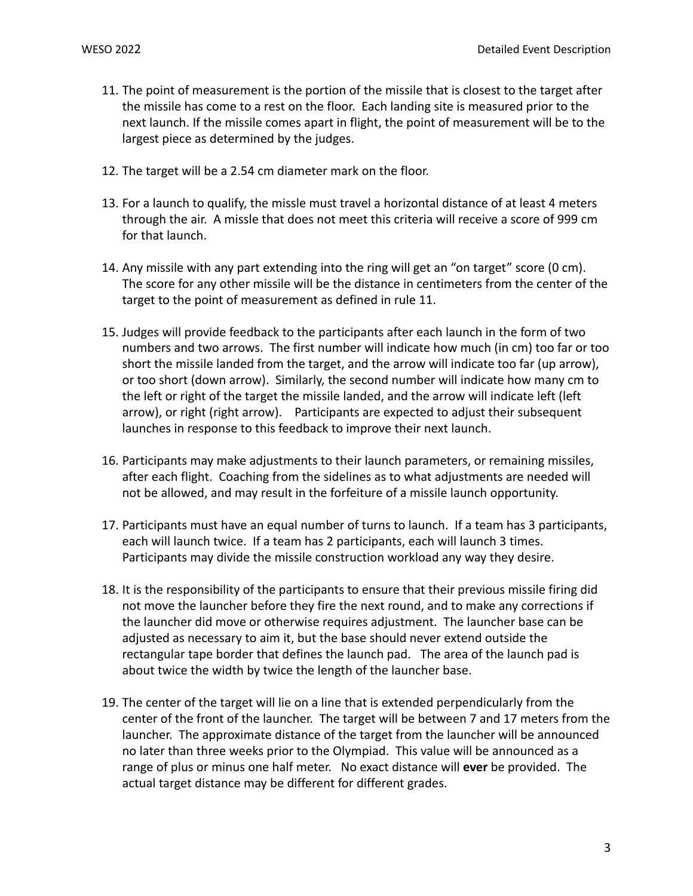- 11. The point of measurement is the portion of the missile that is closest to the target after the missile has come to a rest on the floor. Each landing site is measured prior to the next launch. If the missile comes apart in flight, the point of measurement will be to the largest piece as determined by the judges.
- 12. The target will be a 2.54 cm diameter mark on the floor.
- 13. For a launch to qualify, the missle must travel a horizontal distance of at least 4 meters through the air. A missle that does not meet this criteria will receive a score of 999 cm for that launch.
- 14. Any missile with any part extending into the ring will get an "on target" score (0 cm). The score for any other missile will be the distance in centimeters from the center of the target to the point of measurement as defined in rule 11.
- 15. Judges will provide feedback to the participants after each launch in the form of two numbers and two arrows. The first number will indicate how much (in cm) too far or too short the missile landed from the target, and the arrow will indicate too far (up arrow), or too short (down arrow). Similarly, the second number will indicate how many cm to the left or right of the target the missile landed, and the arrow will indicate left (left arrow), or right (right arrow). Participants are expected to adjust their subsequent launches in response to this feedback to improve their next launch.
- 16. Participants may make adjustments to their launch parameters, or remaining missiles, after each flight. Coaching from the sidelines as to what adjustments are needed will not be allowed, and may result in the forfeiture of a missile launch opportunity.
- 17. Participants must have an equal number of turns to launch. If a team has 3 participants, each will launch twice. If a team has 2 participants, each will launch 3 times. Participants may divide the missile construction workload any way they desire.
- 18. It is the responsibility of the participants to ensure that their previous missile firing did not move the launcher before they fire the next round, and to make any corrections if the launcher did move or otherwise requires adjustment. The launcher base can be adjusted as necessary to aim it, but the base should never extend outside the rectangular tape border that defines the launch pad. The area of the launch pad is about twice the width by twice the length of the launcher base.
- 19. The center of the target will lie on a line that is extended perpendicularly from the center of the front of the launcher. The target will be between 7 and 17 meters from the launcher. The approximate distance of the target from the launcher will be announced no later than three weeks prior to the Olympiad. This value will be announced as a range of plus or minus one half meter. No exact distance will **ever** be provided. The actual target distance may be different for different grades.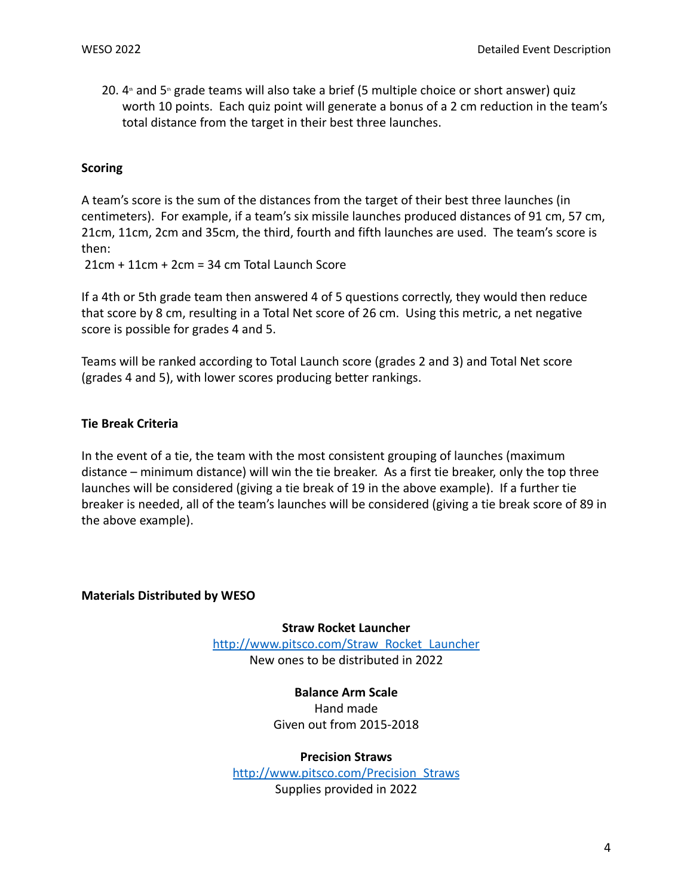20.  $4$ <sup>th</sup> and 5<sup>th</sup> grade teams will also take a brief (5 multiple choice or short answer) quiz worth 10 points. Each quiz point will generate a bonus of a 2 cm reduction in the team's total distance from the target in their best three launches.

### **Scoring**

A team's score is the sum of the distances from the target of their best three launches (in centimeters). For example, if a team's six missile launches produced distances of 91 cm, 57 cm, 21cm, 11cm, 2cm and 35cm, the third, fourth and fifth launches are used. The team's score is then:

21cm + 11cm + 2cm = 34 cm Total Launch Score

If a 4th or 5th grade team then answered 4 of 5 questions correctly, they would then reduce that score by 8 cm, resulting in a Total Net score of 26 cm. Using this metric, a net negative score is possible for grades 4 and 5.

Teams will be ranked according to Total Launch score (grades 2 and 3) and Total Net score (grades 4 and 5), with lower scores producing better rankings.

### **Tie Break Criteria**

In the event of a tie, the team with the most consistent grouping of launches (maximum distance – minimum distance) will win the tie breaker. As a first tie breaker, only the top three launches will be considered (giving a tie break of 19 in the above example). If a further tie breaker is needed, all of the team's launches will be considered (giving a tie break score of 89 in the above example).

### **Materials Distributed by WESO**

#### **Straw Rocket Launcher**

http://www.pitsco.com/Straw\_Rocket\_Launcher New ones to be distributed in 2022

### **Balance Arm Scale**

Hand made Given out from 2015-2018

#### **Precision Straws**

http://www.pitsco.com/Precision\_Straws Supplies provided in 2022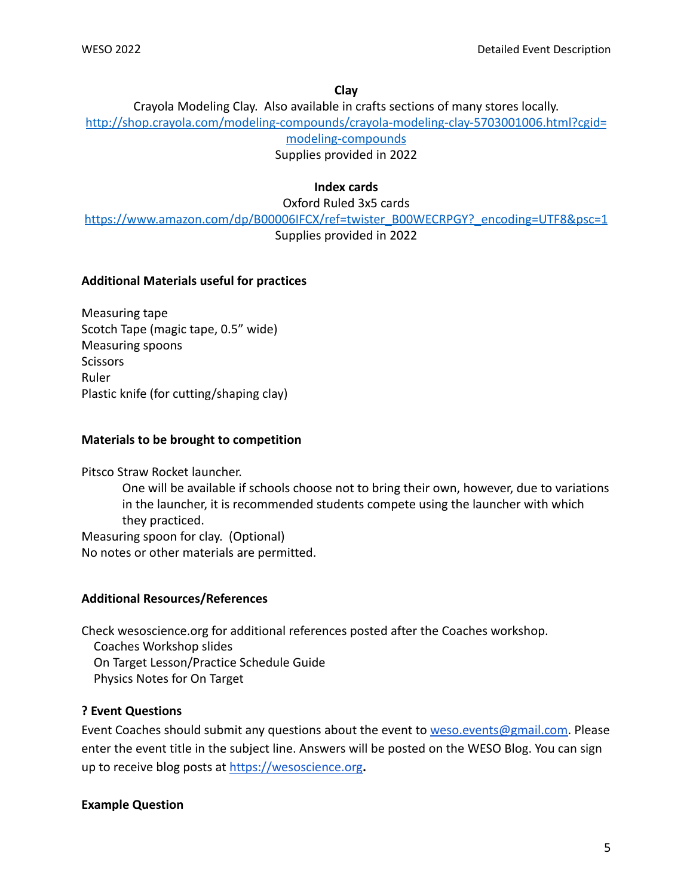### **Clay**

Crayola Modeling Clay. Also available in crafts sections of many stores locally. http://shop.crayola.com/modeling-compounds/crayola-modeling-clay-5703001006.html?cgid= modeling-compounds

Supplies provided in 2022

# **Index cards**

Oxford Ruled 3x5 cards

https://www.amazon.com/dp/B00006IFCX/ref=twister\_B00WECRPGY?\_encoding=UTF8&psc=1 Supplies provided in 2022

# **Additional Materials useful for practices**

Measuring tape Scotch Tape (magic tape, 0.5" wide) Measuring spoons **Scissors** Ruler Plastic knife (for cutting/shaping clay)

# **Materials to be brought to competition**

Pitsco Straw Rocket launcher.

One will be available if schools choose not to bring their own, however, due to variations in the launcher, it is recommended students compete using the launcher with which they practiced. Measuring spoon for clay. (Optional) No notes or other materials are permitted.

# **Additional Resources/References**

Check wesoscience.org for additional references posted after the Coaches workshop. Coaches Workshop slides

On Target Lesson/Practice Schedule Guide

Physics Notes for On Target

# **? Event Questions**

Event Coaches should submit any questions about the event to [weso.events@gmail.com.](mailto:weso.events@gmail.com) Please enter the event title in the subject line. Answers will be posted on the WESO Blog. You can sign up to receive blog posts at <https://wesoscience.org>**.**

# **Example Question**